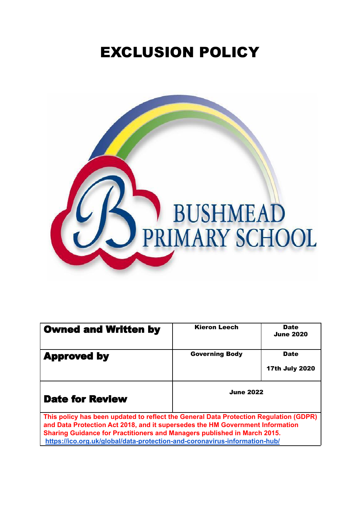# EXCLUSION POLICY



| <b>Owned and Written by</b>                                                                                                                                                                                                                        | <b>Kieron Leech</b>   | <b>Date</b><br><b>June 2020</b>      |
|----------------------------------------------------------------------------------------------------------------------------------------------------------------------------------------------------------------------------------------------------|-----------------------|--------------------------------------|
| <b>Approved by</b>                                                                                                                                                                                                                                 | <b>Governing Body</b> | <b>Date</b><br><b>17th July 2020</b> |
|                                                                                                                                                                                                                                                    |                       |                                      |
| <b>Date for Review</b>                                                                                                                                                                                                                             | <b>June 2022</b>      |                                      |
| This policy has been updated to reflect the General Data Protection Regulation (GDPR)<br>and Data Protection Act 2018, and it supersedes the HM Government Information<br>Sharing Guidance for Practitioners and Managers published in March 2015. |                       |                                      |

**<https://ico.org.uk/global/data-protection-and-coronavirus-information-hub/>**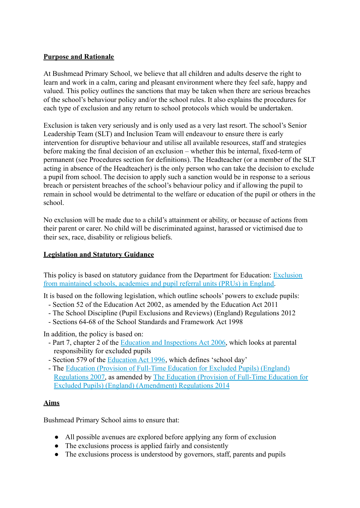## **Purpose and Rationale**

At Bushmead Primary School, we believe that all children and adults deserve the right to learn and work in a calm, caring and pleasant environment where they feel safe, happy and valued. This policy outlines the sanctions that may be taken when there are serious breaches of the school's behaviour policy and/or the school rules. It also explains the procedures for each type of exclusion and any return to school protocols which would be undertaken.

Exclusion is taken very seriously and is only used as a very last resort. The school's Senior Leadership Team (SLT) and Inclusion Team will endeavour to ensure there is early intervention for disruptive behaviour and utilise all available resources, staff and strategies before making the final decision of an exclusion – whether this be internal, fixed-term of permanent (see Procedures section for definitions). The Headteacher (or a member of the SLT acting in absence of the Headteacher) is the only person who can take the decision to exclude a pupil from school. The decision to apply such a sanction would be in response to a serious breach or persistent breaches of the school's behaviour policy and if allowing the pupil to remain in school would be detrimental to the welfare or education of the pupil or others in the school.

No exclusion will be made due to a child's attainment or ability, or because of actions from their parent or carer. No child will be discriminated against, harassed or victimised due to their sex, race, disability or religious beliefs.

## **Legislation and Statutory Guidance**

This policy is based on statutory guidance from the Department for Education: [Exclusion](https://www.gov.uk/government/publications/school-exclusion) [from maintained schools, academies and pupil referral units \(PRUs\) in England.](https://www.gov.uk/government/publications/school-exclusion)

It is based on the following legislation, which outline schools' powers to exclude pupils:

- Section 52 of the [Education Act 2002,](http://www.legislation.gov.uk/ukpga/2002/32/section/52) as amended by the [Education Act 2011](http://www.legislation.gov.uk/ukpga/2011/21/contents/enacted)
- [The School Discipline \(Pupil Exclusions and Reviews\)](http://www.legislation.gov.uk/uksi/2012/1033/made) (England) Regulations 2012
- Sections 64-68 of the [School Standards and Framework](http://www.legislation.gov.uk/ukpga/1998/31) Act 1998

In addition, the policy is based on:

- Part 7, chapter 2 of the [Education and Inspections](http://www.legislation.gov.uk/ukpga/2006/40/part/7/chapter/2) Act 2006, which looks at parental responsibility for excluded pupils
- Section 579 of the [Education Act 1996,](http://www.legislation.gov.uk/ukpga/1996/56/section/579) which defines 'school day'
- The [Education \(Provision of Full-Time Education](http://www.legislation.gov.uk/uksi/2007/1870/contents/made) for Excluded Pupils) (England) [Regulations 2007,](http://www.legislation.gov.uk/uksi/2007/1870/contents/made) as amended by The Education (Provision [of Full-Time Education for](http://www.legislation.gov.uk/uksi/2014/3216/contents/made) [Excluded Pupils\) \(England\) \(Amendment\) Regulations 2014](http://www.legislation.gov.uk/uksi/2014/3216/contents/made)

## **Aims**

Bushmead Primary School aims to ensure that:

- All possible avenues are explored before applying any form of exclusion
- The exclusions process is applied fairly and consistently
- The exclusions process is understood by governors, staff, parents and pupils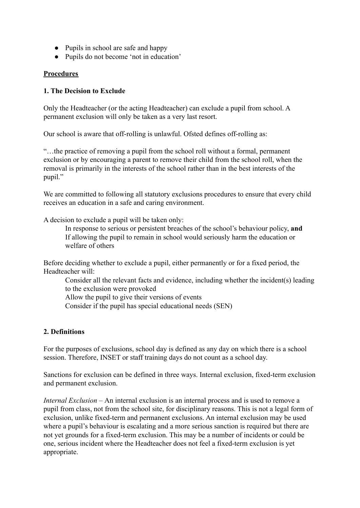- Pupils in school are safe and happy
- Pupils do not become 'not in education'

## **Procedures**

#### **1. The Decision to Exclude**

Only the Headteacher (or the acting Headteacher) can exclude a pupil from school. A permanent exclusion will only be taken as a very last resort.

Our school is aware that off-rolling is unlawful. Ofsted defines off-rolling as:

"…the practice of removing a pupil from the school roll without a formal, permanent exclusion or by encouraging a parent to remove their child from the school roll, when the removal is primarily in the interests of the school rather than in the best interests of the pupil."

We are committed to following all statutory exclusions procedures to ensure that every child receives an education in a safe and caring environment.

A decision to exclude a pupil will be taken only:

In response to serious or persistent breaches of the school's behaviour policy, **and** If allowing the pupil to remain in school would seriously harm the education or welfare of others

Before deciding whether to exclude a pupil, either permanently or for a fixed period, the Headteacher will:

Consider all the relevant facts and evidence, including whether the incident(s) leading to the exclusion were provoked

Allow the pupil to give their versions of events

Consider if the pupil has special educational needs (SEN)

## **2. Definitions**

For the purposes of exclusions, school day is defined as any day on which there is a school session. Therefore, INSET or staff training days do not count as a school day.

Sanctions for exclusion can be defined in three ways. Internal exclusion, fixed-term exclusion and permanent exclusion.

*Internal Exclusion –* An internal exclusion is an internal process and is used to remove a pupil from class, not from the school site, for disciplinary reasons. This is not a legal form of exclusion, unlike fixed-term and permanent exclusions. An internal exclusion may be used where a pupil's behaviour is escalating and a more serious sanction is required but there are not yet grounds for a fixed-term exclusion. This may be a number of incidents or could be one, serious incident where the Headteacher does not feel a fixed-term exclusion is yet appropriate.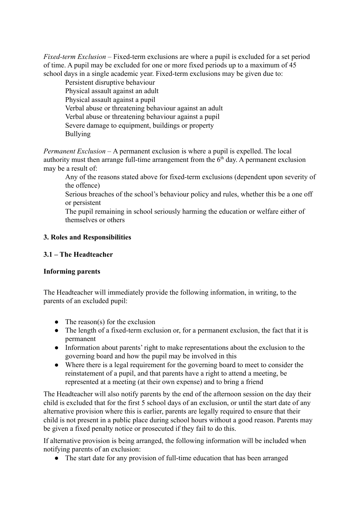*Fixed-term Exclusion –* Fixed-term exclusions are where a pupil is excluded for a set period of time. A pupil may be excluded for one or more fixed periods up to a maximum of 45 school days in a single academic year. Fixed-term exclusions may be given due to:

Persistent disruptive behaviour Physical assault against an adult Physical assault against a pupil Verbal abuse or threatening behaviour against an adult Verbal abuse or threatening behaviour against a pupil Severe damage to equipment, buildings or property Bullying

*Permanent Exclusion –* A permanent exclusion is where a pupil is expelled. The local authority must then arrange full-time arrangement from the  $6<sup>th</sup>$  day. A permanent exclusion may be a result of:

Any of the reasons stated above for fixed-term exclusions (dependent upon severity of the offence)

Serious breaches of the school's behaviour policy and rules, whether this be a one off or persistent

The pupil remaining in school seriously harming the education or welfare either of themselves or others

# **3. Roles and Responsibilities**

## **3.1 – The Headteacher**

## **Informing parents**

The Headteacher will immediately provide the following information, in writing, to the parents of an excluded pupil:

- $\bullet$  The reason(s) for the exclusion
- The length of a fixed-term exclusion or, for a permanent exclusion, the fact that it is permanent
- Information about parents' right to make representations about the exclusion to the governing board and how the pupil may be involved in this
- Where there is a legal requirement for the governing board to meet to consider the reinstatement of a pupil, and that parents have a right to attend a meeting, be represented at a meeting (at their own expense) and to bring a friend

The Headteacher will also notify parents by the end of the afternoon session on the day their child is excluded that for the first 5 school days of an exclusion, or until the start date of any alternative provision where this is earlier, parents are legally required to ensure that their child is not present in a public place during school hours without a good reason. Parents may be given a fixed penalty notice or prosecuted if they fail to do this.

If alternative provision is being arranged, the following information will be included when notifying parents of an exclusion:

• The start date for any provision of full-time education that has been arranged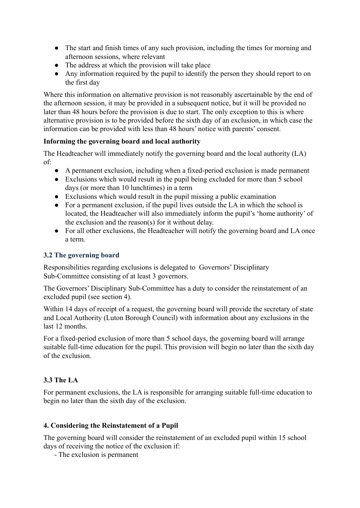- The start and finish times of any such provision, including the times for morning and afternoon sessions, where relevant
- The address at which the provision will take place
- Any information required by the pupil to identify the person they should report to on the first day

Where this information on alternative provision is not reasonably ascertainable by the end of the afternoon session, it may be provided in a subsequent notice, but it will be provided no later than 48 hours before the provision is due to start. The only exception to this is where alternative provision is to be provided before the sixth day of an exclusion, in which case the information can be provided with less than 48 hours' notice with parents' consent.

## **Informing the governing board and local authority**

The Headteacher will immediately notify the governing board and the local authority (LA) of:

- A permanent exclusion, including when a fixed-period exclusion is made permanent
- Exclusions which would result in the pupil being excluded for more than 5 school days (or more than 10 lunchtimes) in a term
- Exclusions which would result in the pupil missing a public examination
- For a permanent exclusion, if the pupil lives outside the LA in which the school is located, the Headteacher will also immediately inform the pupil's 'home authority' of the exclusion and the reason(s) for it without delay.
- For all other exclusions, the Headteacher will notify the governing board and LA once a term.

## **3.2 The governing board**

Responsibilities regarding exclusions is delegated to Governors' Disciplinary Sub-Committee consisting of at least 3 governors.

The Governors' Disciplinary Sub-Committee has a duty to consider the reinstatement of an excluded pupil (see section 4).

Within 14 days of receipt of a request, the governing board will provide the secretary of state and Local Authority (Luton Borough Council) with information about any exclusions in the last 12 months.

For a fixed-period exclusion of more than 5 school days, the governing board will arrange suitable full-time education for the pupil. This provision will begin no later than the sixth day of the exclusion.

# **3.3 The LA**

For permanent exclusions, the LA is responsible for arranging suitable full-time education to begin no later than the sixth day of the exclusion.

# **4. Considering the Reinstatement of a Pupil**

The governing board will consider the reinstatement of an excluded pupil within 15 school days of receiving the notice of the exclusion if:

- The exclusion is permanent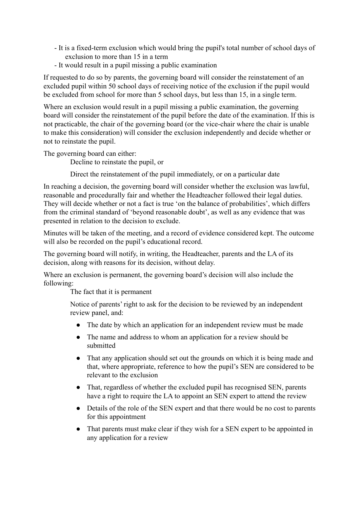- It is a fixed-term exclusion which would bring the pupil's total number of school days of exclusion to more than 15 in a term
- It would result in a pupil missing a public examination

If requested to do so by parents, the governing board will consider the reinstatement of an excluded pupil within 50 school days of receiving notice of the exclusion if the pupil would be excluded from school for more than 5 school days, but less than 15, in a single term.

Where an exclusion would result in a pupil missing a public examination, the governing board will consider the reinstatement of the pupil before the date of the examination. If this is not practicable, the chair of the governing board (or the vice-chair where the chair is unable to make this consideration) will consider the exclusion independently and decide whether or not to reinstate the pupil.

The governing board can either:

Decline to reinstate the pupil, or

Direct the reinstatement of the pupil immediately, or on a particular date

In reaching a decision, the governing board will consider whether the exclusion was lawful, reasonable and procedurally fair and whether the Headteacher followed their legal duties. They will decide whether or not a fact is true 'on the balance of probabilities', which differs from the criminal standard of 'beyond reasonable doubt', as well as any evidence that was presented in relation to the decision to exclude.

Minutes will be taken of the meeting, and a record of evidence considered kept. The outcome will also be recorded on the pupil's educational record.

The governing board will notify, in writing, the Headteacher, parents and the LA of its decision, along with reasons for its decision, without delay.

Where an exclusion is permanent, the governing board's decision will also include the following:

The fact that it is permanent

Notice of parents' right to ask for the decision to be reviewed by an independent review panel, and:

- The date by which an application for an independent review must be made
- The name and address to whom an application for a review should be submitted
- That any application should set out the grounds on which it is being made and that, where appropriate, reference to how the pupil's SEN are considered to be relevant to the exclusion
- That, regardless of whether the excluded pupil has recognised SEN, parents have a right to require the LA to appoint an SEN expert to attend the review
- Details of the role of the SEN expert and that there would be no cost to parents for this appointment
- That parents must make clear if they wish for a SEN expert to be appointed in any application for a review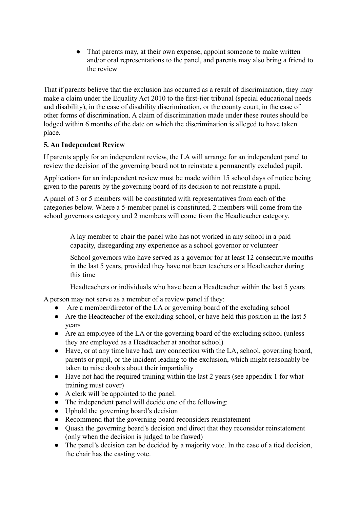• That parents may, at their own expense, appoint someone to make written and/or oral representations to the panel, and parents may also bring a friend to the review

That if parents believe that the exclusion has occurred as a result of discrimination, they may make a claim under the Equality Act 2010 to the first-tier tribunal (special educational needs and disability), in the case of disability discrimination, or the county court, in the case of other forms of discrimination. A claim of discrimination made under these routes should be lodged within 6 months of the date on which the discrimination is alleged to have taken place.

# **5. An Independent Review**

If parents apply for an independent review, the LA will arrange for an independent panel to review the decision of the governing board not to reinstate a permanently excluded pupil.

Applications for an independent review must be made within 15 school days of notice being given to the parents by the governing board of its decision to not reinstate a pupil.

A panel of 3 or 5 members will be constituted with representatives from each of the categories below. Where a 5-member panel is constituted, 2 members will come from the school governors category and 2 members will come from the Headteacher category.

> A lay member to chair the panel who has not worked in any school in a paid capacity, disregarding any experience as a school governor or volunteer

School governors who have served as a governor for at least 12 consecutive months in the last 5 years, provided they have not been teachers or a Headteacher during this time

Headteachers or individuals who have been a Headteacher within the last 5 years

A person may not serve as a member of a review panel if they:

- Are a member/director of the LA or governing board of the excluding school
- Are the Headteacher of the excluding school, or have held this position in the last 5 years
- Are an employee of the LA or the governing board of the excluding school (unless they are employed as a Headteacher at another school)
- Have, or at any time have had, any connection with the LA, school, governing board, parents or pupil, or the incident leading to the exclusion, which might reasonably be taken to raise doubts about their impartiality
- Have not had the required training within the last 2 years (see appendix 1 for what training must cover)
- A clerk will be appointed to the panel.
- The independent panel will decide one of the following:
- Uphold the governing board's decision
- Recommend that the governing board reconsiders reinstatement
- Quash the governing board's decision and direct that they reconsider reinstatement (only when the decision is judged to be flawed)
- The panel's decision can be decided by a majority vote. In the case of a tied decision, the chair has the casting vote.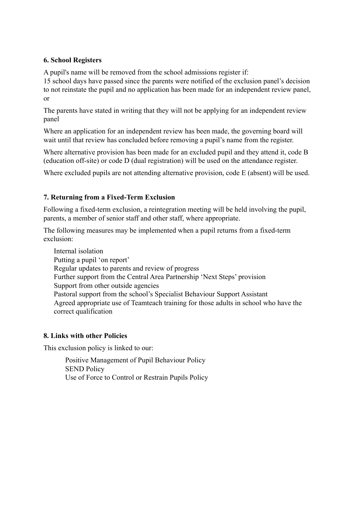## **6. School Registers**

A pupil's name will be removed from the school admissions register if:

15 school days have passed since the parents were notified of the exclusion panel's decision to not reinstate the pupil and no application has been made for an independent review panel, or

The parents have stated in writing that they will not be applying for an independent review panel

Where an application for an independent review has been made, the governing board will wait until that review has concluded before removing a pupil's name from the register.

Where alternative provision has been made for an excluded pupil and they attend it, code B (education off-site) or code D (dual registration) will be used on the attendance register.

Where excluded pupils are not attending alternative provision, code E (absent) will be used.

## **7. Returning from a Fixed-Term Exclusion**

Following a fixed-term exclusion, a reintegration meeting will be held involving the pupil, parents, a member of senior staff and other staff, where appropriate.

The following measures may be implemented when a pupil returns from a fixed-term exclusion:

Internal isolation Putting a pupil 'on report' Regular updates to parents and review of progress Further support from the Central Area Partnership 'Next Steps' provision Support from other outside agencies Pastoral support from the school's Specialist Behaviour Support Assistant Agreed appropriate use of Teamteach training for those adults in school who have the correct qualification

## **8. Links with other Policies**

This exclusion policy is linked to our:

Positive Management of Pupil Behaviour Policy SEND Policy Use of Force to Control or Restrain Pupils Policy